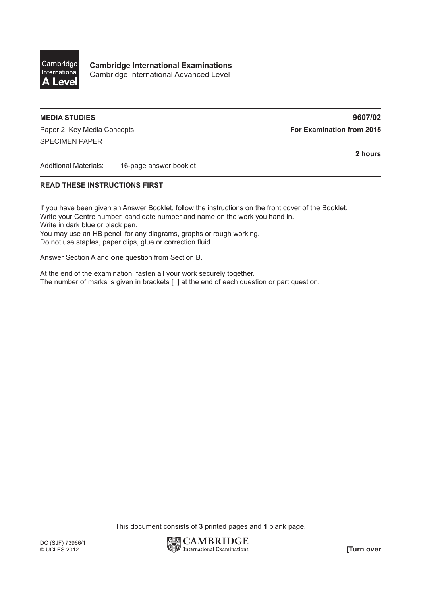

**Cambridge International Examinations** Cambridge International Advanced Level

## **MEDIA STUDIES 9607/02**

Paper 2 Key Media Concepts **For Examination from 2015** SPECIMEN PAPER

**2 hours**

Additional Materials: 16-page answer booklet

## **READ THESE INSTRUCTIONS FIRST**

If you have been given an Answer Booklet, follow the instructions on the front cover of the Booklet. Write your Centre number, candidate number and name on the work you hand in. Write in dark blue or black pen. You may use an HB pencil for any diagrams, graphs or rough working. Do not use staples, paper clips, glue or correction fluid.

Answer Section A and **one** question from Section B.

At the end of the examination, fasten all your work securely together. The number of marks is given in brackets [ ] at the end of each question or part question.

This document consists of **3** printed pages and **1** blank page.

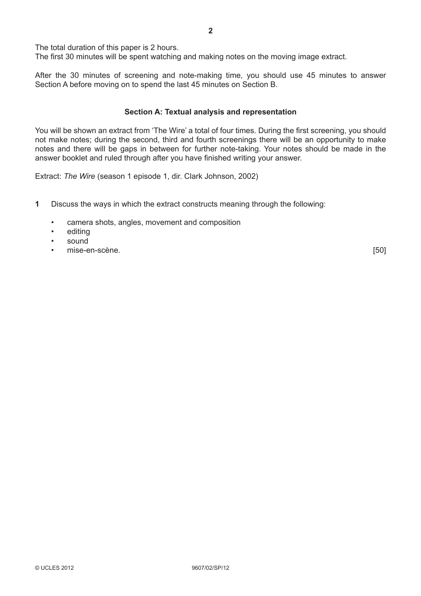The total duration of this paper is 2 hours.

The first 30 minutes will be spent watching and making notes on the moving image extract.

After the 30 minutes of screening and note-making time, you should use 45 minutes to answer Section A before moving on to spend the last 45 minutes on Section B.

## **Section A: Textual analysis and representation**

You will be shown an extract from 'The Wire' a total of four times. During the first screening, you should not make notes; during the second, third and fourth screenings there will be an opportunity to make notes and there will be gaps in between for further note-taking. Your notes should be made in the answer booklet and ruled through after you have finished writing your answer.

Extract: *The Wire* (season 1 episode 1, dir. Clark Johnson, 2002)

- **1** Discuss the ways in which the extract constructs meaning through the following:
	- camera shots, angles, movement and composition
	- editing
	- sound
	- enise-en-scène. Communication de la communication de la communication de la communication de la communication de la communication de la communication de la communication de la communication de la communication de la commun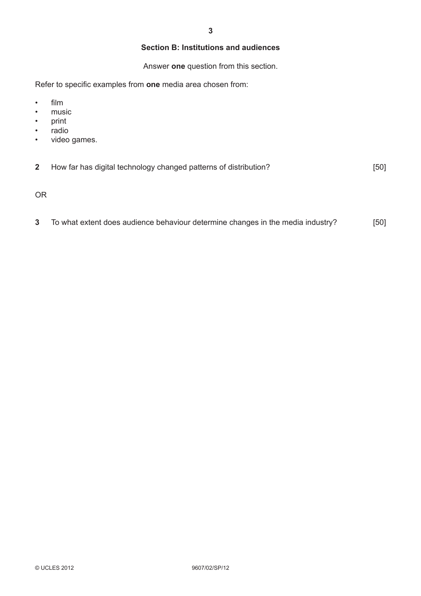## **Section B: Institutions and audiences**

Answer **one** question from this section.

Refer to specific examples from **one** media area chosen from:

- film
- music
- print
- radio
- video games.

|  | How far has digital technology changed patterns of distribution? | [50] |
|--|------------------------------------------------------------------|------|
|--|------------------------------------------------------------------|------|

OR

**3** To what extent does audience behaviour determine changes in the media industry? [50]